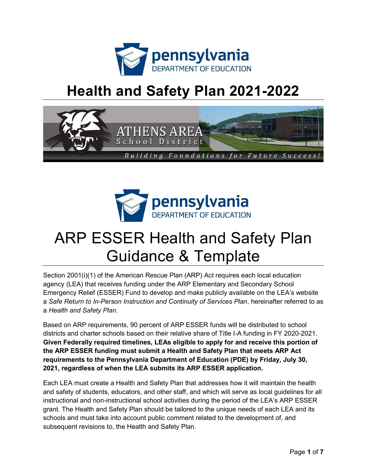

## Health and Safety Plan 2021-2022





# ARP ESSER Health and Safety Plan Guidance & Template

Section 2001(i)(1) of the American Rescue Plan (ARP) Act requires each local education agency (LEA) that receives funding under the ARP Elementary and Secondary School Emergency Relief (ESSER) Fund to develop and make publicly available on the LEA's website a Safe Return to In-Person Instruction and Continuity of Services Plan, hereinafter referred to as a Health and Safety Plan.

Based on ARP requirements, 90 percent of ARP ESSER funds will be distributed to school districts and charter schools based on their relative share of Title I-A funding in FY 2020-2021. Given Federally required timelines, LEAs eligible to apply for and receive this portion of the ARP ESSER funding must submit a Health and Safety Plan that meets ARP Act requirements to the Pennsylvania Department of Education (PDE) by Friday, July 30, 2021, regardless of when the LEA submits its ARP ESSER application.

Each LEA must create a Health and Safety Plan that addresses how it will maintain the health and safety of students, educators, and other staff, and which will serve as local guidelines for all instructional and non-instructional school activities during the period of the LEA's ARP ESSER grant. The Health and Safety Plan should be tailored to the unique needs of each LEA and its schools and must take into account public comment related to the development of, and subsequent revisions to, the Health and Safety Plan.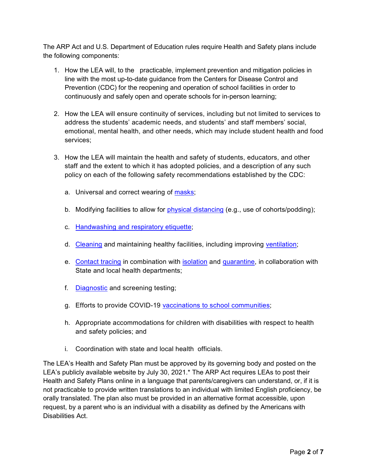The ARP Act and U.S. Department of Education rules require Health and Safety plans include the following components:

- 1. How the LEA will, to the practicable, implement prevention and mitigation policies in line with the most up-to-date guidance from the Centers for Disease Control and Prevention (CDC) for the reopening and operation of school facilities in order to continuously and safely open and operate schools for in-person learning;
- 2. How the LEA will ensure continuity of services, including but not limited to services to address the students' academic needs, and students' and staff members' social, emotional, mental health, and other needs, which may include student health and food services;
- 3. How the LEA will maintain the health and safety of students, educators, and other staff and the extent to which it has adopted policies, and a description of any such policy on each of the following safety recommendations established by the CDC:
	- a. Universal and correct wearing of masks;
	- b. Modifying facilities to allow for physical distancing (e.g., use of cohorts/podding);
	- c. Handwashing and respiratory etiquette;
	- d. Cleaning and maintaining healthy facilities, including improving ventilation;
	- e. Contact tracing in combination with isolation and quarantine, in collaboration with State and local health departments;
	- f. Diagnostic and screening testing;
	- g. Efforts to provide COVID-19 vaccinations to school communities;
	- h. Appropriate accommodations for children with disabilities with respect to health and safety policies; and
	- i. Coordination with state and local health officials.

The LEA's Health and Safety Plan must be approved by its governing body and posted on the LEA's publicly available website by July 30, 2021.\* The ARP Act requires LEAs to post their Health and Safety Plans online in a language that parents/caregivers can understand, or, if it is not practicable to provide written translations to an individual with limited English proficiency, be orally translated. The plan also must be provided in an alternative format accessible, upon request, by a parent who is an individual with a disability as defined by the Americans with Disabilities Act.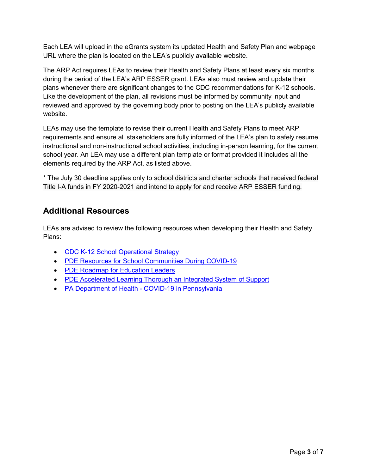Each LEA will upload in the eGrants system its updated Health and Safety Plan and webpage URL where the plan is located on the LEA's publicly available website.

The ARP Act requires LEAs to review their Health and Safety Plans at least every six months during the period of the LEA's ARP ESSER grant. LEAs also must review and update their plans whenever there are significant changes to the CDC recommendations for K-12 schools. Like the development of the plan, all revisions must be informed by community input and reviewed and approved by the governing body prior to posting on the LEA's publicly available website.

LEAs may use the template to revise their current Health and Safety Plans to meet ARP requirements and ensure all stakeholders are fully informed of the LEA's plan to safely resume instructional and non-instructional school activities, including in-person learning, for the current school year. An LEA may use a different plan template or format provided it includes all the elements required by the ARP Act, as listed above.

\* The July 30 deadline applies only to school districts and charter schools that received federal Title I-A funds in FY 2020-2021 and intend to apply for and receive ARP ESSER funding.

### Additional Resources

LEAs are advised to review the following resources when developing their Health and Safety Plans:

- CDC K-12 School Operational Strategy
- PDE Resources for School Communities During COVID-19
- PDE Roadmap for Education Leaders
- PDE Accelerated Learning Thorough an Integrated System of Support
- PA Department of Health COVID-19 in Pennsylvania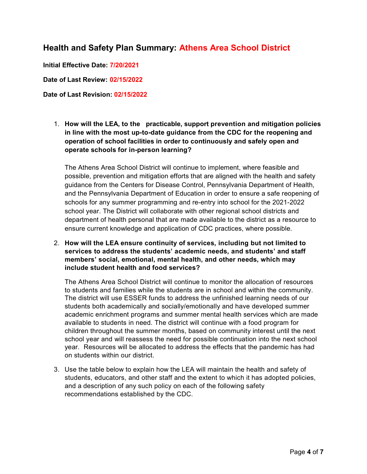#### Health and Safety Plan Summary: Athens Area School District

Initial Effective Date: 7/20/2021

Date of Last Review: 02/15/2022

#### Date of Last Revision: 02/15/2022

1. How will the LEA, to the practicable, support prevention and mitigation policies in line with the most up-to-date guidance from the CDC for the reopening and operation of school facilities in order to continuously and safely open and operate schools for in-person learning?

The Athens Area School District will continue to implement, where feasible and possible, prevention and mitigation efforts that are aligned with the health and safety guidance from the Centers for Disease Control, Pennsylvania Department of Health, and the Pennsylvania Department of Education in order to ensure a safe reopening of schools for any summer programming and re-entry into school for the 2021-2022 school year. The District will collaborate with other regional school districts and department of health personal that are made available to the district as a resource to ensure current knowledge and application of CDC practices, where possible.

2. How will the LEA ensure continuity of services, including but not limited to services to address the students' academic needs, and students' and staff members' social, emotional, mental health, and other needs, which may include student health and food services?

The Athens Area School District will continue to monitor the allocation of resources to students and families while the students are in school and within the community. The district will use ESSER funds to address the unfinished learning needs of our students both academically and socially/emotionally and have developed summer academic enrichment programs and summer mental health services which are made available to students in need. The district will continue with a food program for children throughout the summer months, based on community interest until the next school year and will reassess the need for possible continuation into the next school year. Resources will be allocated to address the effects that the pandemic has had on students within our district.

3. Use the table below to explain how the LEA will maintain the health and safety of students, educators, and other staff and the extent to which it has adopted policies, and a description of any such policy on each of the following safety recommendations established by the CDC.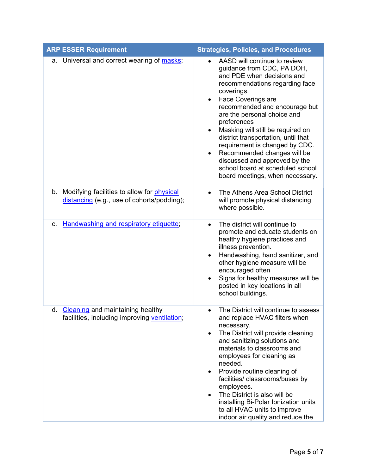| <b>ARP ESSER Requirement</b>                                                                  | <b>Strategies, Policies, and Procedures</b>                                                                                                                                                                                                                                                                                                                                                                                                                                                                                                            |
|-----------------------------------------------------------------------------------------------|--------------------------------------------------------------------------------------------------------------------------------------------------------------------------------------------------------------------------------------------------------------------------------------------------------------------------------------------------------------------------------------------------------------------------------------------------------------------------------------------------------------------------------------------------------|
| a. Universal and correct wearing of masks;                                                    | AASD will continue to review<br>$\bullet$<br>guidance from CDC, PA DOH,<br>and PDE when decisions and<br>recommendations regarding face<br>coverings.<br>Face Coverings are<br>$\bullet$<br>recommended and encourage but<br>are the personal choice and<br>preferences<br>Masking will still be required on<br>$\bullet$<br>district transportation, until that<br>requirement is changed by CDC.<br>Recommended changes will be<br>$\bullet$<br>discussed and approved by the<br>school board at scheduled school<br>board meetings, when necessary. |
| b. Modifying facilities to allow for physical<br>distancing (e.g., use of cohorts/podding);   | The Athens Area School District<br>$\bullet$<br>will promote physical distancing<br>where possible.                                                                                                                                                                                                                                                                                                                                                                                                                                                    |
| Handwashing and respiratory etiquette;<br>$C_{1}$                                             | The district will continue to<br>$\bullet$<br>promote and educate students on<br>healthy hygiene practices and<br>illness prevention.<br>Handwashing, hand sanitizer, and<br>$\bullet$<br>other hygiene measure will be<br>encouraged often<br>Signs for healthy measures will be<br>$\bullet$<br>posted in key locations in all<br>school buildings.                                                                                                                                                                                                  |
| <b>Cleaning and maintaining healthy</b><br>d.<br>facilities, including improving ventilation; | The District will continue to assess<br>and replace HVAC filters when<br>necessary.<br>The District will provide cleaning<br>$\bullet$<br>and sanitizing solutions and<br>materials to classrooms and<br>employees for cleaning as<br>needed.<br>Provide routine cleaning of<br>$\bullet$<br>facilities/ classrooms/buses by<br>employees.<br>The District is also will be<br>$\bullet$<br>installing Bi-Polar Ionization units<br>to all HVAC units to improve<br>indoor air quality and reduce the                                                   |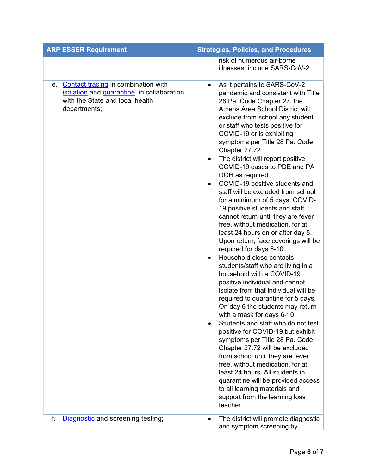| <b>ARP ESSER Requirement</b>                                                                                                            | <b>Strategies, Policies, and Procedures</b>                                                                                                                                                                                                                                                                                                                                                                                                                                                                                                                                                                                                                                                                                                                                                                                                                                                                                                                                                                                                                                                                                                                                                                                                                                                                                                                                                                                               |
|-----------------------------------------------------------------------------------------------------------------------------------------|-------------------------------------------------------------------------------------------------------------------------------------------------------------------------------------------------------------------------------------------------------------------------------------------------------------------------------------------------------------------------------------------------------------------------------------------------------------------------------------------------------------------------------------------------------------------------------------------------------------------------------------------------------------------------------------------------------------------------------------------------------------------------------------------------------------------------------------------------------------------------------------------------------------------------------------------------------------------------------------------------------------------------------------------------------------------------------------------------------------------------------------------------------------------------------------------------------------------------------------------------------------------------------------------------------------------------------------------------------------------------------------------------------------------------------------------|
|                                                                                                                                         | risk of numerous air-borne<br>illnesses, include SARS-CoV-2                                                                                                                                                                                                                                                                                                                                                                                                                                                                                                                                                                                                                                                                                                                                                                                                                                                                                                                                                                                                                                                                                                                                                                                                                                                                                                                                                                               |
| e. Contact tracing in combination with<br>isolation and quarantine, in collaboration<br>with the State and local health<br>departments; | As it pertains to SARS-CoV-2<br>$\bullet$<br>pandemic and consistent with Title<br>28 Pa. Code Chapter 27, the<br>Athens Area School District will<br>exclude from school any student<br>or staff who tests positive for<br>COVID-19 or is exhibiting<br>symptoms per Title 28 Pa. Code<br>Chapter 27.72.<br>The district will report positive<br>$\bullet$<br>COVID-19 cases to PDE and PA<br>DOH as required.<br>COVID-19 positive students and<br>$\bullet$<br>staff will be excluded from school<br>for a minimum of 5 days. COVID-<br>19 positive students and staff<br>cannot return until they are fever<br>free, without medication, for at<br>least 24 hours on or after day 5.<br>Upon return, face coverings will be<br>required for days 6-10.<br>Household close contacts -<br>$\bullet$<br>students/staff who are living in a<br>household with a COVID-19<br>positive individual and cannot<br>isolate from that individual will be<br>required to quarantine for 5 days.<br>On day 6 the students may return<br>with a mask for days 6-10.<br>Students and staff who do not test<br>positive for COVID-19 but exhibit<br>symptoms per Title 28 Pa. Code<br>Chapter 27.72 will be excluded<br>from school until they are fever<br>free, without medication, for at<br>least 24 hours. All students in<br>quarantine will be provided access<br>to all learning materials and<br>support from the learning loss<br>teacher. |
| f.<br>Diagnostic and screening testing;                                                                                                 | The district will promote diagnostic<br>and symptom screening by                                                                                                                                                                                                                                                                                                                                                                                                                                                                                                                                                                                                                                                                                                                                                                                                                                                                                                                                                                                                                                                                                                                                                                                                                                                                                                                                                                          |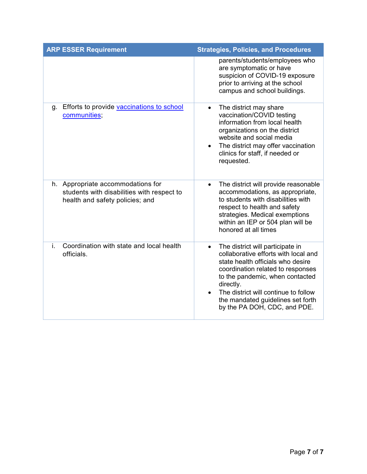| <b>ARP ESSER Requirement</b>                                                                                       | <b>Strategies, Policies, and Procedures</b>                                                                                                                                                                                                                                                                                  |
|--------------------------------------------------------------------------------------------------------------------|------------------------------------------------------------------------------------------------------------------------------------------------------------------------------------------------------------------------------------------------------------------------------------------------------------------------------|
|                                                                                                                    | parents/students/employees who<br>are symptomatic or have<br>suspicion of COVID-19 exposure<br>prior to arriving at the school<br>campus and school buildings.                                                                                                                                                               |
| g. Efforts to provide vaccinations to school<br>communities;                                                       | The district may share<br>$\bullet$<br>vaccination/COVID testing<br>information from local health<br>organizations on the district<br>website and social media<br>The district may offer vaccination<br>$\bullet$<br>clinics for staff, if needed or<br>requested.                                                           |
| h. Appropriate accommodations for<br>students with disabilities with respect to<br>health and safety policies; and | The district will provide reasonable<br>$\bullet$<br>accommodations, as appropriate,<br>to students with disabilities with<br>respect to health and safety<br>strategies. Medical exemptions<br>within an IEP or 504 plan will be<br>honored at all times                                                                    |
| Coordination with state and local health<br>i.<br>officials.                                                       | The district will participate in<br>$\bullet$<br>collaborative efforts with local and<br>state health officials who desire<br>coordination related to responses<br>to the pandemic, when contacted<br>directly.<br>The district will continue to follow<br>the mandated guidelines set forth<br>by the PA DOH, CDC, and PDE. |